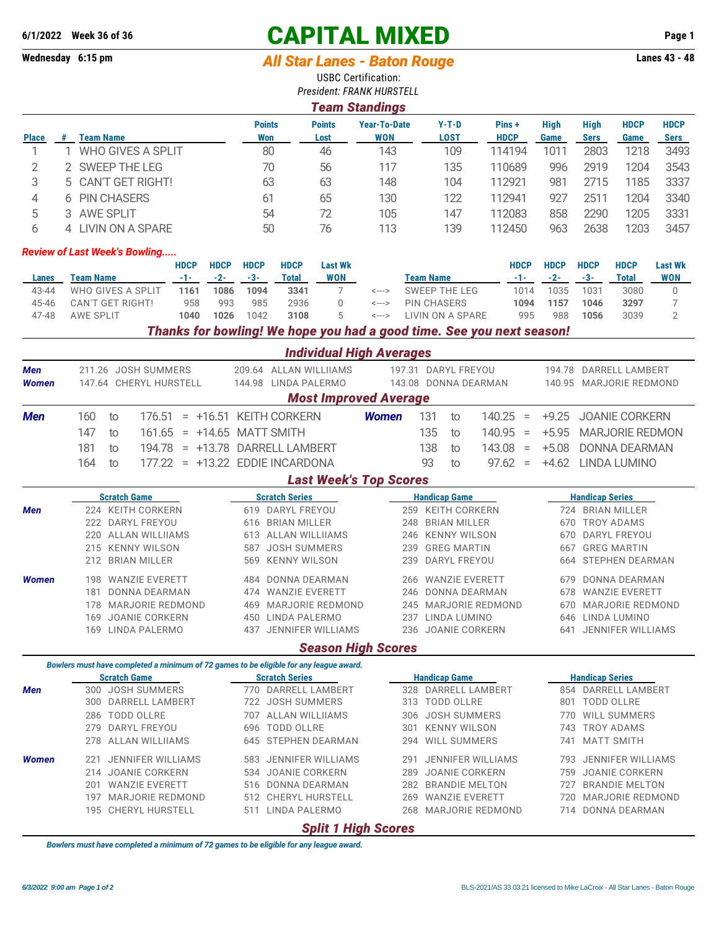## **6/1/2022 Week 36 of 36 CAPITAL MIXED Page 1**

## **Wednesday 6:15 pm** *All Star Lanes - Baton Rouge* **Lanes 43 - 48**

USBC Certification:

|              |                                                                                                               |                            |                                                      |                       | <b>USBC Certification:</b><br><b>President: FRANK HURSTELL</b> |                                                 |                               |                                                                                           |                           |                                              |                                  |                                           |                              |  |
|--------------|---------------------------------------------------------------------------------------------------------------|----------------------------|------------------------------------------------------|-----------------------|----------------------------------------------------------------|-------------------------------------------------|-------------------------------|-------------------------------------------------------------------------------------------|---------------------------|----------------------------------------------|----------------------------------|-------------------------------------------|------------------------------|--|
|              |                                                                                                               |                            |                                                      |                       | <b>Team Standings</b>                                          |                                                 |                               |                                                                                           |                           |                                              |                                  |                                           |                              |  |
| <b>Place</b> | #<br><b>Team Name</b>                                                                                         |                            | <b>Points</b><br><b>Won</b>                          |                       | <b>Points</b><br>Lost                                          | <b>Year-To-Date</b><br><b>WON</b>               |                               | $Y-T-D$<br><b>LOST</b>                                                                    | Pins +<br><b>HDCP</b>     | <b>High</b><br>Game                          | <b>High</b><br><b>Sers</b>       | <b>HDCP</b><br><b>Game</b>                | <b>HDCP</b><br><b>Sers</b>   |  |
| 1            | <b>WHO GIVES A SPLIT</b><br>1.                                                                                |                            | 80                                                   |                       | 46                                                             | 143                                             |                               | 109                                                                                       | 114194                    | 1011                                         | 2803                             | 1218                                      | 3493                         |  |
| $\mathbf{2}$ | SWEEP THE LEG                                                                                                 |                            |                                                      | 70<br>56              |                                                                | 117                                             |                               | 135                                                                                       | 110689                    | 996<br>2919                                  |                                  | 1204                                      | 3543                         |  |
| 3            | CAN'T GET RIGHT!<br>5.                                                                                        |                            | 63                                                   |                       | 63                                                             | 148                                             |                               | 104                                                                                       | 112921                    | 981                                          | 2715                             | 1185                                      | 3337                         |  |
| 4            | 6 PIN CHASERS                                                                                                 |                            | 61                                                   |                       | 65                                                             | 130                                             |                               | 122                                                                                       | 112941                    | 927                                          | 2511                             | 1204                                      | 3340                         |  |
| 5            | 3 AWE SPLIT                                                                                                   |                            |                                                      | 72<br>54              |                                                                | 105                                             |                               | 147                                                                                       | 112083                    | 858                                          | 2290<br>1205                     |                                           | 3331                         |  |
| 6            | 4 LIVIN ON A SPARE                                                                                            |                            | 50                                                   | 76                    |                                                                | 113                                             |                               | 139                                                                                       | 112450                    | 963                                          | 2638<br>1203                     |                                           | 3457                         |  |
|              | <b>Review of Last Week's Bowling</b>                                                                          | <b>HDCP</b><br><b>HDCP</b> | <b>HDCP</b>                                          | <b>HDCP</b>           | <b>Last Wk</b>                                                 |                                                 |                               |                                                                                           | <b>HDCP</b>               | <b>HDCP</b>                                  | <b>HDCP</b>                      |                                           |                              |  |
| Lanes        | <b>Team Name</b>                                                                                              | $-2-$<br>-1-               | $-3-$                                                | <b>Total</b>          | <b>WON</b>                                                     |                                                 |                               | <b>Team Name</b>                                                                          | $-1-$                     | $-2-$                                        | $-3-$                            | <b>HDCP</b><br><b>Total</b>               | <b>Last Wk</b><br><b>WON</b> |  |
| 43-44        | WHO GIVES A SPLIT                                                                                             | 1086<br>1161               | 1094                                                 | 3341                  | 7                                                              | $\leftarrow$ $\rightarrow$                      |                               | <b>SWEEP THE LEG</b>                                                                      | 1014                      | 1035                                         | 1031                             | 3080                                      | 0                            |  |
| 45-46        | <b>CAN'T GET RIGHT!</b>                                                                                       | 958<br>993                 | 985                                                  | 2936                  | 0                                                              | <--->                                           |                               | <b>PIN CHASERS</b>                                                                        | 1094                      | 1157                                         | 1046                             | 3297                                      | 7                            |  |
| 47-48        | <b>AWE SPLIT</b>                                                                                              | 1026<br>1040               | 1042                                                 | 3108                  | 5                                                              | <--->                                           |                               | LIVIN ON A SPARE<br>Thanks for bowling! We hope you had a good time. See you next season! | 995                       | 988                                          | 1056                             | 3039                                      | $\overline{2}$               |  |
|              |                                                                                                               |                            |                                                      |                       | <b>Individual High Averages</b>                                |                                                 |                               |                                                                                           |                           |                                              |                                  |                                           |                              |  |
| <b>Men</b>   | 211.26 JOSH SUMMERS                                                                                           |                            |                                                      |                       | 209.64 ALLAN WILLIIAMS                                         |                                                 |                               | 197.31 DARYL FREYOU                                                                       |                           |                                              |                                  | 194.78 DARRELL LAMBERT                    |                              |  |
| <b>Women</b> | 147.64 CHERYL HURSTELL                                                                                        |                            | 144.98 LINDA PALERMO<br><b>Most Improved Average</b> |                       |                                                                | 143.08 DONNA DEARMAN                            |                               |                                                                                           |                           | 140.95 MARJORIE REDMOND                      |                                  |                                           |                              |  |
| <b>Men</b>   | 160<br>to<br>176.51                                                                                           | $= +16.51$ KEITH CORKERN   |                                                      |                       |                                                                | <b>Women</b>                                    |                               | 131<br>to                                                                                 | 140.25<br>$\equiv$        | $+9.25$                                      |                                  | <b>JOANIE CORKERN</b>                     |                              |  |
|              | 147<br>161.65<br>to                                                                                           | $= +14.65$ MATT SMITH      |                                                      |                       |                                                                |                                                 |                               | 135<br>to                                                                                 | 140.95<br>$\equiv$        | $+5.95$                                      |                                  | <b>MARJORIE REDMON</b>                    |                              |  |
|              | 181<br>194.78<br>to                                                                                           | = +13.78 DARRELL LAMBERT   |                                                      |                       |                                                                |                                                 |                               | 138<br>to                                                                                 | 143.08<br>$\equiv$        | $+5.08$                                      |                                  | <b>DONNA DEARMAN</b>                      |                              |  |
|              | 164<br>177.22 = +13.22 EDDIE INCARDONA<br>to                                                                  |                            |                                                      |                       |                                                                |                                                 | 93<br>97.62<br>to<br>$\equiv$ |                                                                                           |                           |                                              | +4.62 LINDA LUMINO               |                                           |                              |  |
|              |                                                                                                               |                            |                                                      |                       | <b>Last Week's Top Scores</b>                                  |                                                 |                               |                                                                                           |                           |                                              |                                  |                                           |                              |  |
|              | <b>Scratch Game</b>                                                                                           |                            |                                                      |                       | <b>Scratch Series</b><br>619 DARYL FREYOU                      |                                                 |                               | <b>Handicap Game</b>                                                                      |                           |                                              | <b>Handicap Series</b>           |                                           |                              |  |
| Men          | 224 KEITH CORKERN<br>222 DARYL FREYOU                                                                         |                            | 616 BRIAN MILLER                                     |                       |                                                                | 259 KEITH CORKERN<br>248<br><b>BRIAN MILLER</b> |                               |                                                                                           |                           | 724 BRIAN MILLER<br><b>TROY ADAMS</b><br>670 |                                  |                                           |                              |  |
|              | 220 ALLAN WILLIIAMS                                                                                           |                            |                                                      | 613 ALLAN WILLIIAMS   |                                                                |                                                 |                               | 246 KENNY WILSON                                                                          |                           | 670                                          |                                  | DARYL FREYOU                              |                              |  |
|              | 215 KENNY WILSON                                                                                              | 587                        | <b>JOSH SUMMERS</b>                                  |                       |                                                                | 239                                             | <b>GREG MARTIN</b>            |                                                                                           | <b>GREG MARTIN</b><br>667 |                                              |                                  |                                           |                              |  |
|              | 212 BRIAN MILLER                                                                                              |                            | 569                                                  |                       | <b>KENNY WILSON</b>                                            |                                                 | 239                           | DARYL FREYOU                                                                              | STEPHEN DEARMAN<br>664    |                                              |                                  |                                           |                              |  |
| Women        | <b>WANZIE EVERETT</b><br>198                                                                                  |                            | 484                                                  | DONNA DEARMAN         |                                                                |                                                 | 266                           | <b>WANZIE EVERETT</b>                                                                     |                           | 679                                          |                                  | <b>DONNA DEARMAN</b>                      |                              |  |
|              | 181 DONNA DEARMAN                                                                                             |                            |                                                      | 474 WANZIE EVERETT    |                                                                |                                                 |                               | 246 DONNA DEARMAN                                                                         |                           |                                              |                                  | 678 WANZIE EVERETT                        |                              |  |
|              | 178 MARJORIE REDMOND                                                                                          |                            |                                                      |                       | 469 MARJORIE REDMOND                                           |                                                 |                               | 245 MARJORIE REDMOND                                                                      |                           |                                              |                                  | 670 MARJORIE REDMOND                      |                              |  |
|              | 169 JOANIE CORKERN<br>169 LINDA PALERMO                                                                       |                            |                                                      | 450 LINDA PALERMO     | 437 JENNIFER WILLIAMS                                          |                                                 |                               | 237 LINDA LUMINO<br>236 JOANIE CORKERN                                                    |                           |                                              |                                  | 646 LINDA LUMINO<br>641 JENNIFER WILLIAMS |                              |  |
|              |                                                                                                               |                            |                                                      |                       | <b>Season High Scores</b>                                      |                                                 |                               |                                                                                           |                           |                                              |                                  |                                           |                              |  |
|              | Bowlers must have completed a minimum of 72 games to be eligible for any league award.<br><b>Scratch Game</b> |                            |                                                      | <b>Scratch Series</b> |                                                                |                                                 |                               | <b>Handicap Game</b>                                                                      |                           |                                              | <b>Handicap Series</b>           |                                           |                              |  |
| Men          | 300 JOSH SUMMERS                                                                                              |                            |                                                      |                       | 770 DARRELL LAMBERT                                            |                                                 |                               | 328 DARRELL LAMBERT                                                                       |                           |                                              |                                  | 854 DARRELL LAMBERT                       |                              |  |
|              | 300 DARRELL LAMBERT                                                                                           |                            |                                                      | 722 JOSH SUMMERS      |                                                                |                                                 |                               | 313 TODD OLLRE                                                                            |                           |                                              | 801 TODD OLLRE                   |                                           |                              |  |
|              | 286 TODD OLLRE                                                                                                |                            |                                                      | 707 ALLAN WILLIIAMS   |                                                                |                                                 |                               | 306 JOSH SUMMERS                                                                          |                           |                                              |                                  | 770 WILL SUMMERS                          |                              |  |
|              | 279 DARYL FREYOU<br>278 ALLAN WILLIIAMS                                                                       |                            |                                                      | 696 TODD OLLRE        | 645 STEPHEN DEARMAN                                            |                                                 |                               | 301 KENNY WILSON<br>294 WILL SUMMERS                                                      |                           |                                              | 743 TROY ADAMS<br>741 MATT SMITH |                                           |                              |  |
| Women        | 221 JENNIFER WILLIAMS                                                                                         |                            |                                                      |                       | 583 JENNIFER WILLIAMS                                          |                                                 |                               | 291 JENNIFER WILLIAMS                                                                     |                           |                                              |                                  | 793 JENNIFER WILLIAMS                     |                              |  |
|              | 214 JOANIE CORKERN                                                                                            |                            |                                                      | 534 JOANIE CORKERN    |                                                                |                                                 |                               | 289 JOANIE CORKERN                                                                        |                           |                                              |                                  | 759 JOANIE CORKERN                        |                              |  |
|              | 201 WANZIE EVERETT                                                                                            |                            |                                                      | 516 DONNA DEARMAN     |                                                                |                                                 |                               | 282 BRANDIE MELTON                                                                        |                           |                                              |                                  | 727 BRANDIE MELTON                        |                              |  |
|              | 197 MARJORIE REDMOND                                                                                          |                            |                                                      |                       | 512 CHERYL HURSTELL                                            |                                                 |                               | 269 WANZIE EVERETT                                                                        |                           |                                              |                                  | 720 MARJORIE REDMOND                      |                              |  |
|              | 195 CHERYL HURSTELL                                                                                           |                            |                                                      | 511 LINDA PALERMO     |                                                                |                                                 |                               | 268 MARJORIE REDMOND                                                                      |                           |                                              |                                  | 714 DONNA DEARMAN                         |                              |  |
|              |                                                                                                               |                            |                                                      |                       | <b>Split 1 High Scores</b>                                     |                                                 |                               |                                                                                           |                           |                                              |                                  |                                           |                              |  |

*Bowlers must have completed a minimum of 72 games to be eligible for any league award.*